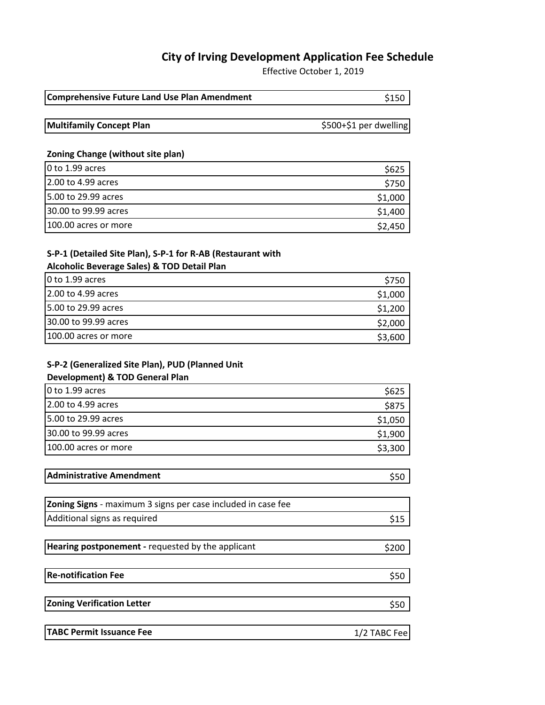# **City of Irving Development Application Fee Schedule**

Effective October 1, 2019

| <b>Comprehensive Future Land Use Plan Amendment</b> | \$150 |
|-----------------------------------------------------|-------|
|                                                     |       |

**Multifamily Concept Plan 1999 Concept Plan 1999 Concept Plan Concept Plan Concept Plan Concept Plan Concept Plan Concept Plan Concept Plan Concept Plan Concept Plan Concept Plan Concept Plann**

#### **Zoning Change (without site plan)**

| $0$ to 1.99 acres    | S625    |
|----------------------|---------|
| 2.00 to 4.99 acres   | S750    |
| 5.00 to 29.99 acres  | \$1,000 |
| 30.00 to 99.99 acres | \$1,400 |
| 100.00 acres or more | \$2,450 |

### **S-P-1 (Detailed Site Plan), S-P-1 for R-AB (Restaurant with**

#### **Alcoholic Beverage Sales) & TOD Detail Plan**

| 0 to 1.99 acres      | S750    |
|----------------------|---------|
| 2.00 to 4.99 acres   | \$1,000 |
| 5.00 to 29.99 acres  | \$1,200 |
| 30.00 to 99.99 acres | \$2,000 |
| 100.00 acres or more | \$3,600 |

### **S-P-2 (Generalized Site Plan), PUD (Planned Unit**

### **Development) & TOD General Plan**

| 0 to 1.99 acres      | S625    |
|----------------------|---------|
| 2.00 to 4.99 acres   | S875    |
| 5.00 to 29.99 acres  | \$1,050 |
| 30.00 to 99.99 acres | \$1,900 |
| 100.00 acres or more | \$3,300 |

| <b>Administrative Amendment</b> |  |
|---------------------------------|--|
|                                 |  |

| <b>Zoning Signs</b> - maximum 3 signs per case included in case fee |     |
|---------------------------------------------------------------------|-----|
| Additional signs as required                                        | S15 |

| Hearing postponement - requested by the applicant | \$200 |
|---------------------------------------------------|-------|
|---------------------------------------------------|-------|

**Re-notification Fee** \$50

**Zoning Verification Letter** \$50

| TABC Permit Issuance Fee | 1/2 TABC Fee |
|--------------------------|--------------|
|--------------------------|--------------|